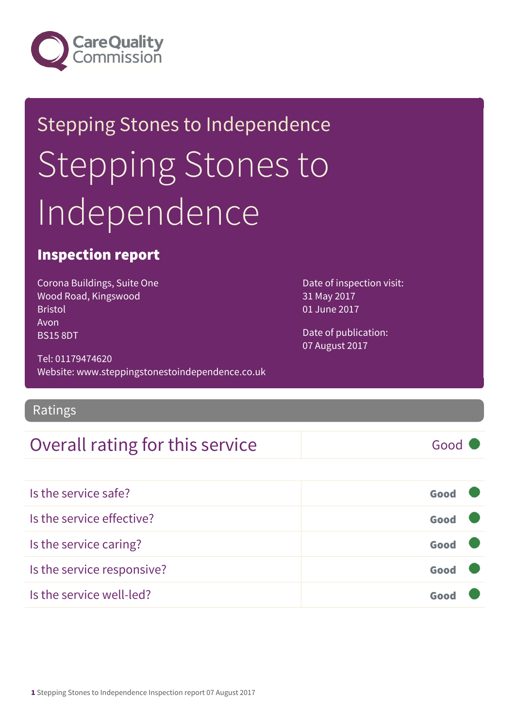

# **Stepping Stones to Independence** Stepping Stones to Independence

#### Inspection report

Corona Buildings, Suite One Wood Road, Kingswood Bristol Avon BS15 8DT

Date of inspection visit: 31 May 2017 01 June 2017

Date of publication: 07 August 2017

Tel: 01179474620 Website: www.steppingstonestoindependence.co.uk

#### Ratings

#### Overall rating for this service Fig. 600 Good

Is the service safe? Good Is the service effective? Good Is the service caring? Good Is the service responsive? Good Is the service well-led? Good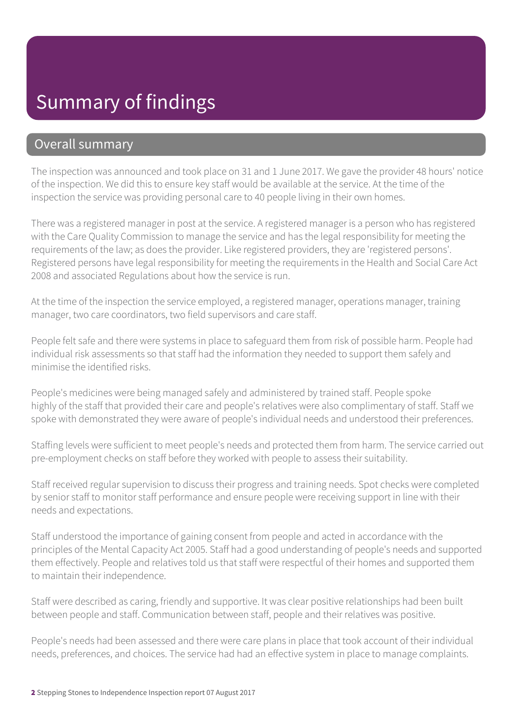### Summary of findings

#### Overall summary

The inspection was announced and took place on 31 and 1 June 2017. We gave the provider 48 hours' notice of the inspection. We did this to ensure key staff would be available at the service. At the time of the inspection the service was providing personal care to 40 people living in their own homes.

There was a registered manager in post at the service. A registered manager is a person who has registered with the Care Quality Commission to manage the service and has the legal responsibility for meeting the requirements of the law; as does the provider. Like registered providers, they are 'registered persons'. Registered persons have legal responsibility for meeting the requirements in the Health and Social Care Act 2008 and associated Regulations about how the service is run.

At the time of the inspection the service employed, a registered manager, operations manager, training manager, two care coordinators, two field supervisors and care staff.

People felt safe and there were systems in place to safeguard them from risk of possible harm. People had individual risk assessments so that staff had the information they needed to support them safely and minimise the identified risks.

People's medicines were being managed safely and administered by trained staff. People spoke highly of the staff that provided their care and people's relatives were also complimentary of staff. Staff we spoke with demonstrated they were aware of people's individual needs and understood their preferences.

Staffing levels were sufficient to meet people's needs and protected them from harm. The service carried out pre-employment checks on staff before they worked with people to assess their suitability.

Staff received regular supervision to discuss their progress and training needs. Spot checks were completed by senior staff to monitor staff performance and ensure people were receiving support in line with their needs and expectations.

Staff understood the importance of gaining consent from people and acted in accordance with the principles of the Mental Capacity Act 2005. Staff had a good understanding of people's needs and supported them effectively. People and relatives told us that staff were respectful of their homes and supported them to maintain their independence.

Staff were described as caring, friendly and supportive. It was clear positive relationships had been built between people and staff. Communication between staff, people and their relatives was positive.

People's needs had been assessed and there were care plans in place that took account of their individual needs, preferences, and choices. The service had had an effective system in place to manage complaints.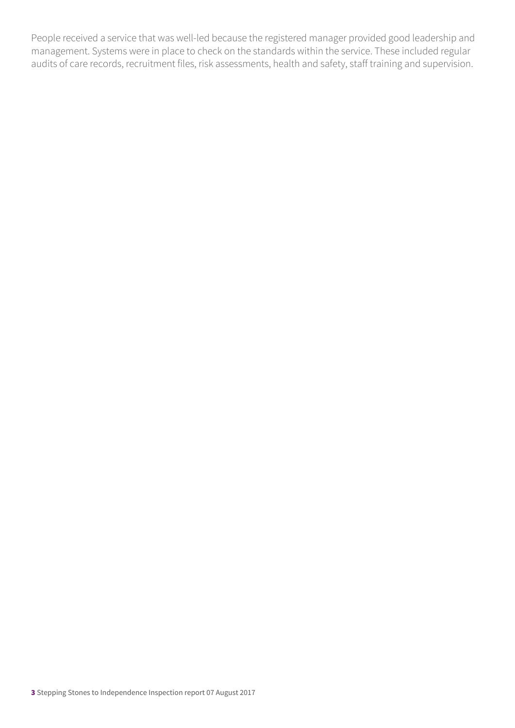People received a service that was well-led because the registered manager provided good leadership and management. Systems were in place to check on the standards within the service. These included regular audits of care records, recruitment files, risk assessments, health and safety, staff training and supervision.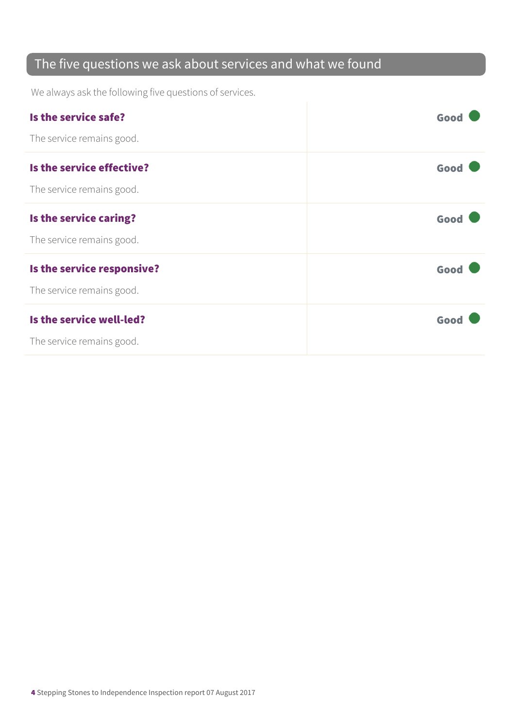#### The five questions we ask about services and what we found

We always ask the following five questions of services.

| Is the service safe?       | Good |
|----------------------------|------|
| The service remains good.  |      |
| Is the service effective?  | Good |
| The service remains good.  |      |
| Is the service caring?     | Good |
| The service remains good.  |      |
| Is the service responsive? | Good |
| The service remains good.  |      |
| Is the service well-led?   | Good |
| The service remains good.  |      |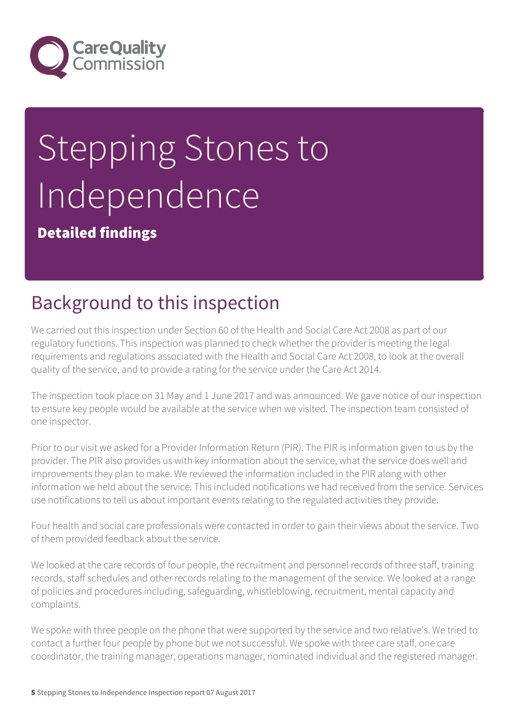

# Stepping Stones to Independence

Detailed findings

# Background to this inspection

We carried out this inspection under Section 60 of the Health and Social Care Act 2008 as part of our regulatory functions. This inspection was planned to check whether the provider is meeting the legal requirements and regulations associated with the Health and Social Care Act 2008, to look at the overall quality of the service, and to provide a rating for the service under the Care Act 2014.

The inspection took place on 31 May and 1 June 2017 and was announced. We gave notice of our inspection to ensure key people would be available at the service when we visited. The inspection team consisted of one inspector.

Prior to our visit we asked for a Provider Information Return (PIR). The PIR is information given to us by the provider. The PIR also provides us with key information about the service, what the service does well and improvements they plan to make. We reviewed the information included in the PIR along with other information we held about the service. This included notifications we had received from the service. Services use notifications to tell us about important events relating to the regulated activities they provide.

Four health and social care professionals were contacted in order to gain their views about the service. Two of them provided feedback about the service.

We looked at the care records of four people, the recruitment and personnel records of three staff, training records, staff schedules and other records relating to the management of the service. We looked at a range of policies and procedures including, safeguarding, whistleblowing, recruitment, mental capacity and complaints.

We spoke with three people on the phone that were supported by the service and two relative's. We tried to contact a further four people by phone but we not successful. We spoke with three care staff, one care coordinator, the training manager, operations manager, nominated individual and the registered manager.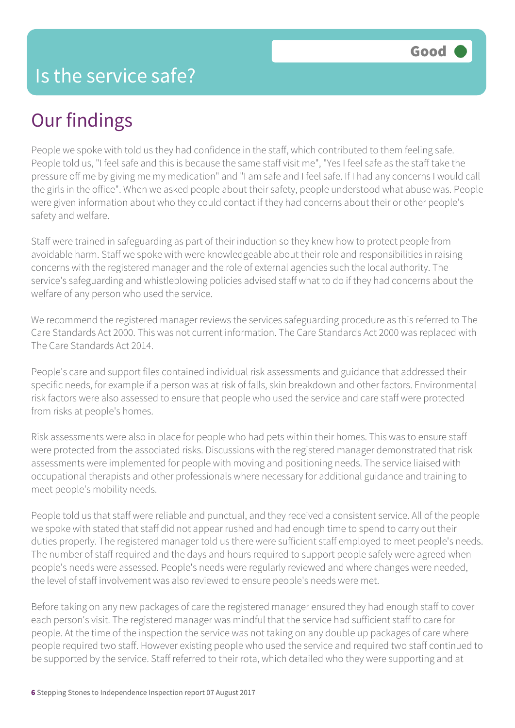# Our findings

People we spoke with told us they had confidence in the staff, which contributed to them feeling safe. People told us, "I feel safe and this is because the same staff visit me", "Yes I feel safe as the staff take the pressure off me by giving me my medication" and "I am safe and I feel safe. If I had any concerns I would call the girls in the office". When we asked people about their safety, people understood what abuse was. People were given information about who they could contact if they had concerns about their or other people's safety and welfare.

Staff were trained in safeguarding as part of their induction so they knew how to protect people from avoidable harm. Staff we spoke with were knowledgeable about their role and responsibilities in raising concerns with the registered manager and the role of external agencies such the local authority. The service's safeguarding and whistleblowing policies advised staff what to do if they had concerns about the welfare of any person who used the service.

We recommend the registered manager reviews the services safeguarding procedure as this referred to The Care Standards Act 2000. This was not current information. The Care Standards Act 2000 was replaced with The Care Standards Act 2014.

People's care and support files contained individual risk assessments and guidance that addressed their specific needs, for example if a person was at risk of falls, skin breakdown and other factors. Environmental risk factors were also assessed to ensure that people who used the service and care staff were protected from risks at people's homes.

Risk assessments were also in place for people who had pets within their homes. This was to ensure staff were protected from the associated risks. Discussions with the registered manager demonstrated that risk assessments were implemented for people with moving and positioning needs. The service liaised with occupational therapists and other professionals where necessary for additional guidance and training to meet people's mobility needs.

People told us that staff were reliable and punctual, and they received a consistent service. All of the people we spoke with stated that staff did not appear rushed and had enough time to spend to carry out their duties properly. The registered manager told us there were sufficient staff employed to meet people's needs. The number of staff required and the days and hours required to support people safely were agreed when people's needs were assessed. People's needs were regularly reviewed and where changes were needed, the level of staff involvement was also reviewed to ensure people's needs were met.

Before taking on any new packages of care the registered manager ensured they had enough staff to cover each person's visit. The registered manager was mindful that the service had sufficient staff to care for people. At the time of the inspection the service was not taking on any double up packages of care where people required two staff. However existing people who used the service and required two staff continued to be supported by the service. Staff referred to their rota, which detailed who they were supporting and at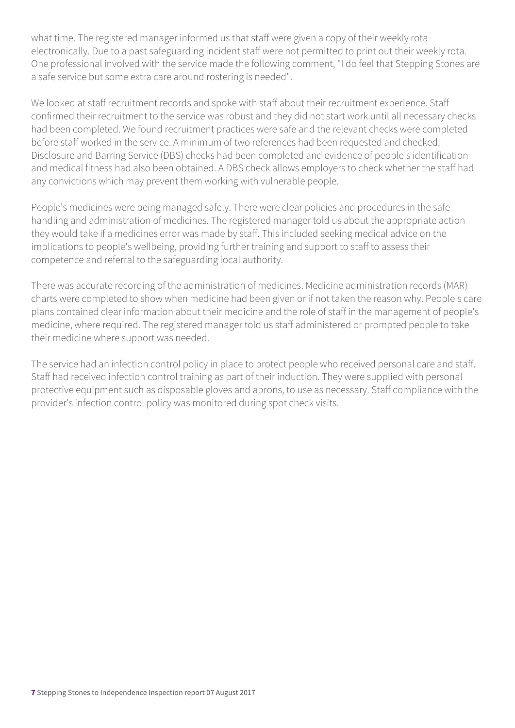what time. The registered manager informed us that staff were given a copy of their weekly rota electronically. Due to a past safeguarding incident staff were not permitted to print out their weekly rota. One professional involved with the service made the following comment, "I do feel that Stepping Stones are a safe service but some extra care around rostering is needed".

We looked at staff recruitment records and spoke with staff about their recruitment experience. Staff confirmed their recruitment to the service was robust and they did not start work until all necessary checks had been completed. We found recruitment practices were safe and the relevant checks were completed before staff worked in the service. A minimum of two references had been requested and checked. Disclosure and Barring Service (DBS) checks had been completed and evidence of people's identification and medical fitness had also been obtained. A DBS check allows employers to check whether the staff had any convictions which may prevent them working with vulnerable people.

People's medicines were being managed safely. There were clear policies and procedures in the safe handling and administration of medicines. The registered manager told us about the appropriate action they would take if a medicines error was made by staff. This included seeking medical advice on the implications to people's wellbeing, providing further training and support to staff to assess their competence and referral to the safeguarding local authority.

There was accurate recording of the administration of medicines. Medicine administration records (MAR) charts were completed to show when medicine had been given or if not taken the reason why. People's care plans contained clear information about their medicine and the role of staff in the management of people's medicine, where required. The registered manager told us staff administered or prompted people to take their medicine where support was needed.

The service had an infection control policy in place to protect people who received personal care and staff. Staff had received infection control training as part of their induction. They were supplied with personal protective equipment such as disposable gloves and aprons, to use as necessary. Staff compliance with the provider's infection control policy was monitored during spot check visits.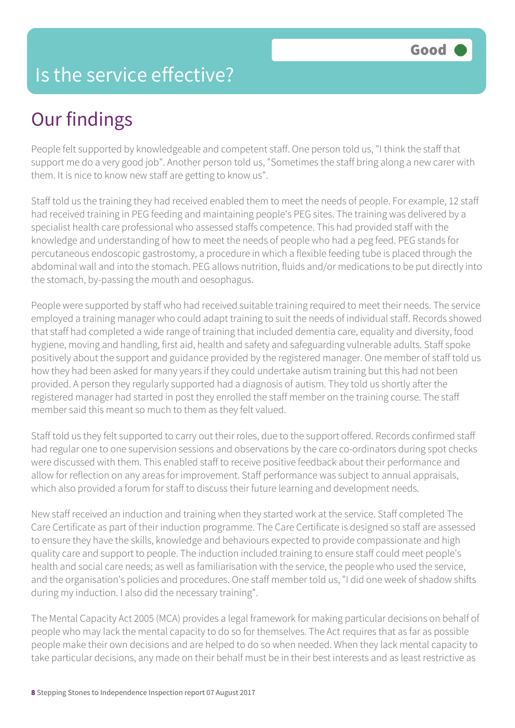#### Is the service effective?

# Our findings

People felt supported by knowledgeable and competent staff. One person told us, "I think the staff that support me do a very good job". Another person told us, "Sometimes the staff bring along a new carer with them. It is nice to know new staff are getting to know us".

Staff told us the training they had received enabled them to meet the needs of people. For example, 12 staff had received training in PEG feeding and maintaining people's PEG sites. The training was delivered by a specialist health care professional who assessed staffs competence. This had provided staff with the knowledge and understanding of how to meet the needs of people who had a peg feed. PEG stands for percutaneous endoscopic gastrostomy, a procedure in which a flexible feeding tube is placed through the abdominal wall and into the stomach. PEG allows nutrition, fluids and/or medications to be put directly into the stomach, by-passing the mouth and oesophagus.

People were supported by staff who had received suitable training required to meet their needs. The service employed a training manager who could adapt training to suit the needs of individual staff. Records showed that staff had completed a wide range of training that included dementia care, equality and diversity, food hygiene, moving and handling, first aid, health and safety and safeguarding vulnerable adults. Staff spoke positively about the support and guidance provided by the registered manager. One member of staff told us how they had been asked for many years if they could undertake autism training but this had not been provided. A person they regularly supported had a diagnosis of autism. They told us shortly after the registered manager had started in post they enrolled the staff member on the training course. The staff member said this meant so much to them as they felt valued.

Staff told us they felt supported to carry out their roles, due to the support offered. Records confirmed staff had regular one to one supervision sessions and observations by the care co-ordinators during spot checks were discussed with them. This enabled staff to receive positive feedback about their performance and allow for reflection on any areas for improvement. Staff performance was subject to annual appraisals, which also provided a forum for staff to discuss their future learning and development needs.

New staff received an induction and training when they started work at the service. Staff completed The Care Certificate as part of their induction programme. The Care Certificate is designed so staff are assessed to ensure they have the skills, knowledge and behaviours expected to provide compassionate and high quality care and support to people. The induction included training to ensure staff could meet people's health and social care needs; as well as familiarisation with the service, the people who used the service, and the organisation's policies and procedures. One staff member told us, "I did one week of shadow shifts during my induction. I also did the necessary training".

The Mental Capacity Act 2005 (MCA) provides a legal framework for making particular decisions on behalf of people who may lack the mental capacity to do so for themselves. The Act requires that as far as possible people make their own decisions and are helped to do so when needed. When they lack mental capacity to take particular decisions, any made on their behalf must be in their best interests and as least restrictive as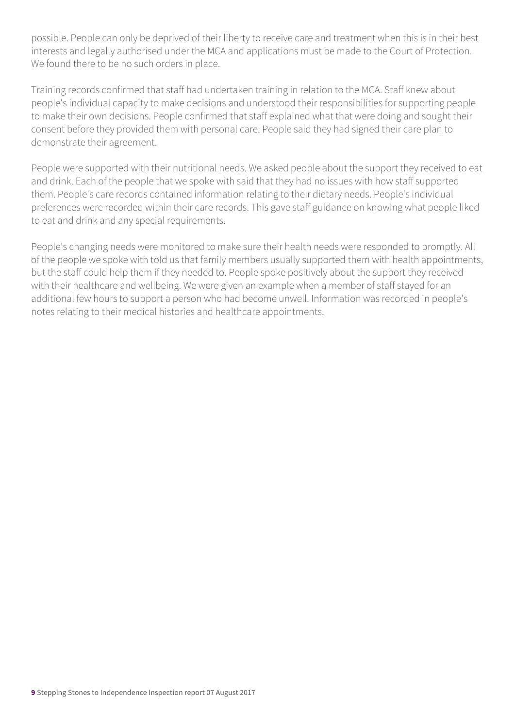possible. People can only be deprived of their liberty to receive care and treatment when this is in their best interests and legally authorised under the MCA and applications must be made to the Court of Protection. We found there to be no such orders in place.

Training records confirmed that staff had undertaken training in relation to the MCA. Staff knew about people's individual capacity to make decisions and understood their responsibilities for supporting people to make their own decisions. People confirmed that staff explained what that were doing and sought their consent before they provided them with personal care. People said they had signed their care plan to demonstrate their agreement.

People were supported with their nutritional needs. We asked people about the support they received to eat and drink. Each of the people that we spoke with said that they had no issues with how staff supported them. People's care records contained information relating to their dietary needs. People's individual preferences were recorded within their care records. This gave staff guidance on knowing what people liked to eat and drink and any special requirements.

People's changing needs were monitored to make sure their health needs were responded to promptly. All of the people we spoke with told us that family members usually supported them with health appointments, but the staff could help them if they needed to. People spoke positively about the support they received with their healthcare and wellbeing. We were given an example when a member of staff stayed for an additional few hours to support a person who had become unwell. Information was recorded in people's notes relating to their medical histories and healthcare appointments.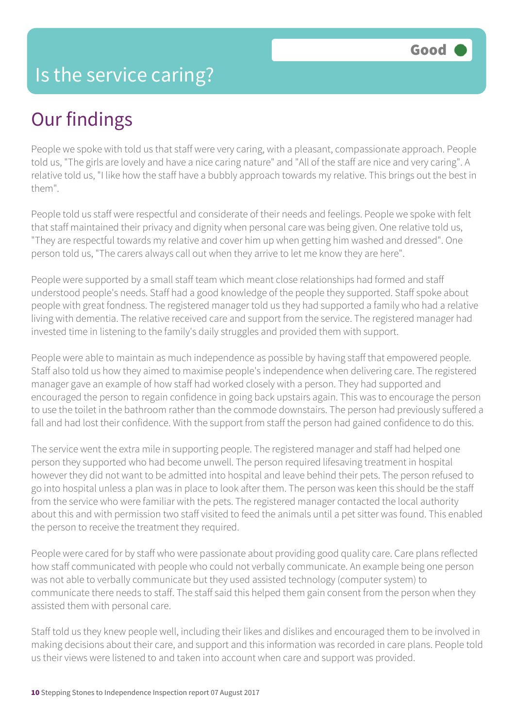# Our findings

People we spoke with told us that staff were very caring, with a pleasant, compassionate approach. People told us, "The girls are lovely and have a nice caring nature" and "All of the staff are nice and very caring". A relative told us, "I like how the staff have a bubbly approach towards my relative. This brings out the best in them".

People told us staff were respectful and considerate of their needs and feelings. People we spoke with felt that staff maintained their privacy and dignity when personal care was being given. One relative told us, "They are respectful towards my relative and cover him up when getting him washed and dressed". One person told us, "The carers always call out when they arrive to let me know they are here".

People were supported by a small staff team which meant close relationships had formed and staff understood people's needs. Staff had a good knowledge of the people they supported. Staff spoke about people with great fondness. The registered manager told us they had supported a family who had a relative living with dementia. The relative received care and support from the service. The registered manager had invested time in listening to the family's daily struggles and provided them with support.

People were able to maintain as much independence as possible by having staff that empowered people. Staff also told us how they aimed to maximise people's independence when delivering care. The registered manager gave an example of how staff had worked closely with a person. They had supported and encouraged the person to regain confidence in going back upstairs again. This was to encourage the person to use the toilet in the bathroom rather than the commode downstairs. The person had previously suffered a fall and had lost their confidence. With the support from staff the person had gained confidence to do this.

The service went the extra mile in supporting people. The registered manager and staff had helped one person they supported who had become unwell. The person required lifesaving treatment in hospital however they did not want to be admitted into hospital and leave behind their pets. The person refused to go into hospital unless a plan was in place to look after them. The person was keen this should be the staff from the service who were familiar with the pets. The registered manager contacted the local authority about this and with permission two staff visited to feed the animals until a pet sitter was found. This enabled the person to receive the treatment they required.

People were cared for by staff who were passionate about providing good quality care. Care plans reflected how staff communicated with people who could not verbally communicate. An example being one person was not able to verbally communicate but they used assisted technology (computer system) to communicate there needs to staff. The staff said this helped them gain consent from the person when they assisted them with personal care.

Staff told us they knew people well, including their likes and dislikes and encouraged them to be involved in making decisions about their care, and support and this information was recorded in care plans. People told us their views were listened to and taken into account when care and support was provided.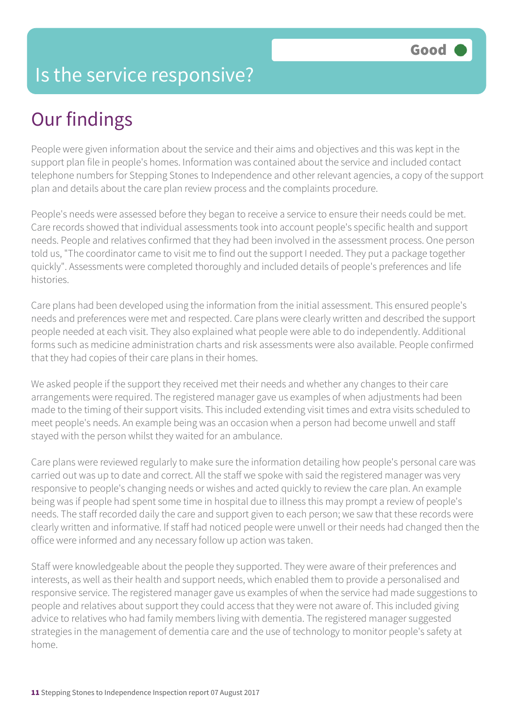#### Is the service responsive?

# Our findings

People were given information about the service and their aims and objectives and this was kept in the support plan file in people's homes. Information was contained about the service and included contact telephone numbers for Stepping Stones to Independence and other relevant agencies, a copy of the support plan and details about the care plan review process and the complaints procedure.

People's needs were assessed before they began to receive a service to ensure their needs could be met. Care records showed that individual assessments took into account people's specific health and support needs. People and relatives confirmed that they had been involved in the assessment process. One person told us, "The coordinator came to visit me to find out the support I needed. They put a package together quickly". Assessments were completed thoroughly and included details of people's preferences and life histories.

Care plans had been developed using the information from the initial assessment. This ensured people's needs and preferences were met and respected. Care plans were clearly written and described the support people needed at each visit. They also explained what people were able to do independently. Additional forms such as medicine administration charts and risk assessments were also available. People confirmed that they had copies of their care plans in their homes.

We asked people if the support they received met their needs and whether any changes to their care arrangements were required. The registered manager gave us examples of when adjustments had been made to the timing of their support visits. This included extending visit times and extra visits scheduled to meet people's needs. An example being was an occasion when a person had become unwell and staff stayed with the person whilst they waited for an ambulance.

Care plans were reviewed regularly to make sure the information detailing how people's personal care was carried out was up to date and correct. All the staff we spoke with said the registered manager was very responsive to people's changing needs or wishes and acted quickly to review the care plan. An example being was if people had spent some time in hospital due to illness this may prompt a review of people's needs. The staff recorded daily the care and support given to each person; we saw that these records were clearly written and informative. If staff had noticed people were unwell or their needs had changed then the office were informed and any necessary follow up action was taken.

Staff were knowledgeable about the people they supported. They were aware of their preferences and interests, as well as their health and support needs, which enabled them to provide a personalised and responsive service. The registered manager gave us examples of when the service had made suggestions to people and relatives about support they could access that they were not aware of. This included giving advice to relatives who had family members living with dementia. The registered manager suggested strategies in the management of dementia care and the use of technology to monitor people's safety at home.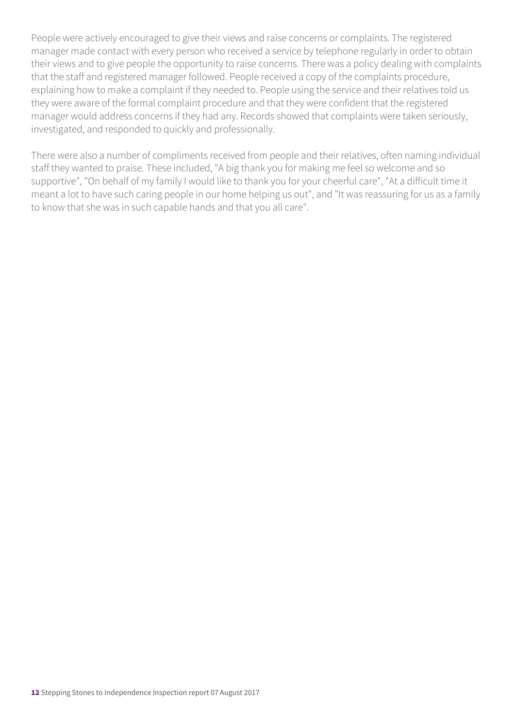People were actively encouraged to give their views and raise concerns or complaints. The registered manager made contact with every person who received a service by telephone regularly in order to obtain their views and to give people the opportunity to raise concerns. There was a policy dealing with complaints that the staff and registered manager followed. People received a copy of the complaints procedure, explaining how to make a complaint if they needed to. People using the service and their relatives told us they were aware of the formal complaint procedure and that they were confident that the registered manager would address concerns if they had any. Records showed that complaints were taken seriously, investigated, and responded to quickly and professionally.

There were also a number of compliments received from people and their relatives, often naming individual staff they wanted to praise. These included, "A big thank you for making me feel so welcome and so supportive", "On behalf of my family I would like to thank you for your cheerful care", "At a difficult time it meant a lot to have such caring people in our home helping us out", and "It was reassuring for us as a family to know that she was in such capable hands and that you all care".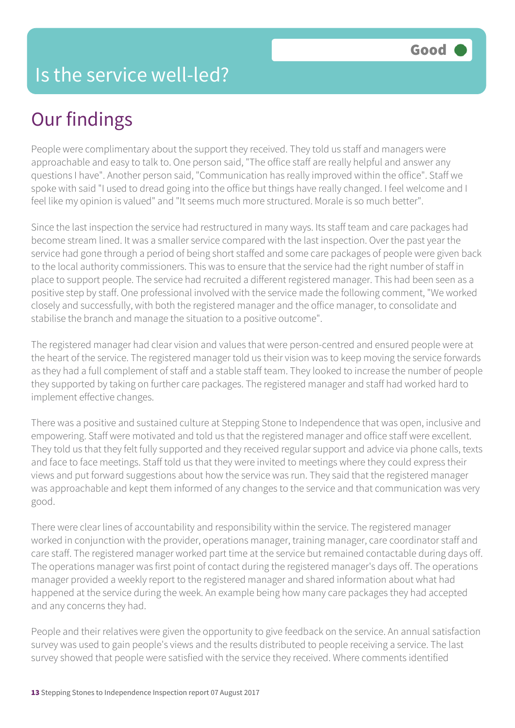# Our findings

People were complimentary about the support they received. They told us staff and managers were approachable and easy to talk to. One person said, "The office staff are really helpful and answer any questions I have". Another person said, "Communication has really improved within the office". Staff we spoke with said "I used to dread going into the office but things have really changed. I feel welcome and I feel like my opinion is valued" and "It seems much more structured. Morale is so much better".

Since the last inspection the service had restructured in many ways. Its staff team and care packages had become stream lined. It was a smaller service compared with the last inspection. Over the past year the service had gone through a period of being short staffed and some care packages of people were given back to the local authority commissioners. This was to ensure that the service had the right number of staff in place to support people. The service had recruited a different registered manager. This had been seen as a positive step by staff. One professional involved with the service made the following comment, "We worked closely and successfully, with both the registered manager and the office manager, to consolidate and stabilise the branch and manage the situation to a positive outcome".

The registered manager had clear vision and values that were person-centred and ensured people were at the heart of the service. The registered manager told us their vision was to keep moving the service forwards as they had a full complement of staff and a stable staff team. They looked to increase the number of people they supported by taking on further care packages. The registered manager and staff had worked hard to implement effective changes.

There was a positive and sustained culture at Stepping Stone to Independence that was open, inclusive and empowering. Staff were motivated and told us that the registered manager and office staff were excellent. They told us that they felt fully supported and they received regular support and advice via phone calls, texts and face to face meetings. Staff told us that they were invited to meetings where they could express their views and put forward suggestions about how the service was run. They said that the registered manager was approachable and kept them informed of any changes to the service and that communication was very good.

There were clear lines of accountability and responsibility within the service. The registered manager worked in conjunction with the provider, operations manager, training manager, care coordinator staff and care staff. The registered manager worked part time at the service but remained contactable during days off. The operations manager was first point of contact during the registered manager's days off. The operations manager provided a weekly report to the registered manager and shared information about what had happened at the service during the week. An example being how many care packages they had accepted and any concerns they had.

People and their relatives were given the opportunity to give feedback on the service. An annual satisfaction survey was used to gain people's views and the results distributed to people receiving a service. The last survey showed that people were satisfied with the service they received. Where comments identified